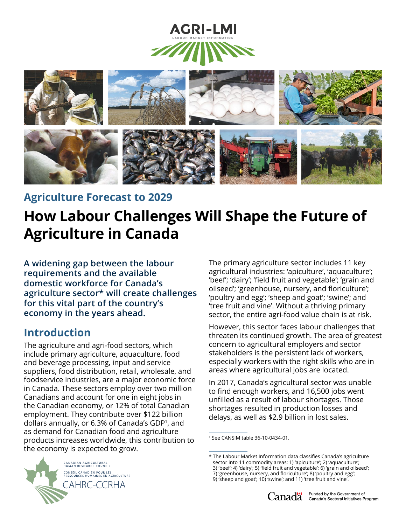



**Agriculture Forecast to 2029**

# **How Labour Challenges Will Shape the Future of Agriculture in Canada**

**A widening gap between the labour requirements and the available domestic workforce for Canada's agriculture sector\* will create challenges for this vital part of the country's economy in the years ahead.**

#### **Introduction**

The agriculture and agri-food sectors, which include primary agriculture, aquaculture, food and beverage processing, input and service suppliers, food distribution, retail, wholesale, and foodservice industries, are a major economic force in Canada. These sectors employ over two million Canadians and account for one in eight jobs in the Canadian economy, or 12% of total Canadian employment. They contribute over \$122 billion dollars annually, or 6.3% of Canada's GDP1, and as demand for Canadian food and agriculture products increases worldwide, this contribution to the economy is expected to grow.

The primary agriculture sector includes 11 key agricultural industries: 'apiculture', 'aquaculture'; 'beef'; 'dairy'; 'field fruit and vegetable'; 'grain and oilseed'; 'greenhouse, nursery, and floriculture'; 'poultry and egg'; 'sheep and goat'; 'swine'; and 'tree fruit and vine'. Without a thriving primary sector, the entire agri-food value chain is at risk.

However, this sector faces labour challenges that threaten its continued growth. The area of greatest concern to agricultural employers and sector stakeholders is the persistent lack of workers, especially workers with the right skills who are in areas where agricultural jobs are located.

In 2017, Canada's agricultural sector was unable to find enough workers, and 16,500 jobs went unfilled as a result of labour shortages. Those shortages resulted in production losses and delays, as well as \$2.9 billion in lost sales.



<sup>1</sup> See CANSIM table 36-10-0434-01.

<sup>\*</sup> The Labour Market Information data classifies Canada's agriculture

sector into 11 commodity areas: 1) 'apiculture'; 2) 'aquaculture';

<sup>3) &#</sup>x27;beef'; 4) 'dairy'; 5) 'field fruit and vegetable'; 6) 'grain and oilseed';

<sup>7) &#</sup>x27;greenhouse, nursery, and floriculture'; 8) 'poultry and egg'; 9) 'sheep and goat'; 10) 'swine'; and 11) 'tree fruit and vine'.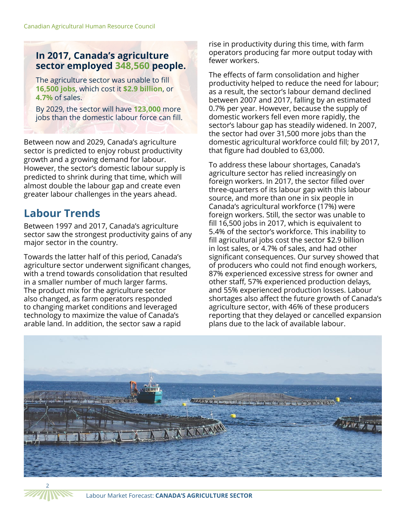#### **In 2017, Canada's agriculture sector employed 348,560 people.**

The agriculture sector was unable to fill **16,500 jobs**, which cost it **\$2.9 billion**, or **4.7%** of sales.

By 2029, the sector will have **123,000** more jobs than the domestic labour force can fill.

Between now and 2029, Canada's agriculture sector is predicted to enjoy robust productivity growth and a growing demand for labour. However, the sector's domestic labour supply is predicted to shrink during that time, which will almost double the labour gap and create even greater labour challenges in the years ahead.

### **Labour Trends**

Between 1997 and 2017, Canada's agriculture sector saw the strongest productivity gains of any major sector in the country.

Towards the latter half of this period, Canada's agriculture sector underwent significant changes, with a trend towards consolidation that resulted in a smaller number of much larger farms. The product mix for the agriculture sector also changed, as farm operators responded to changing market conditions and leveraged technology to maximize the value of Canada's arable land. In addition, the sector saw a rapid

rise in productivity during this time, with farm operators producing far more output today with fewer workers.

The effects of farm consolidation and higher productivity helped to reduce the need for labour; as a result, the sector's labour demand declined between 2007 and 2017, falling by an estimated 0.7% per year. However, because the supply of domestic workers fell even more rapidly, the sector's labour gap has steadily widened. In 2007, the sector had over 31,500 more jobs than the domestic agricultural workforce could fill; by 2017, that figure had doubled to 63,000.

To address these labour shortages, Canada's agriculture sector has relied increasingly on foreign workers. In 2017, the sector filled over three-quarters of its labour gap with this labour source, and more than one in six people in Canada's agricultural workforce (17%) were foreign workers. Still, the sector was unable to fill 16,500 jobs in 2017, which is equivalent to 5.4% of the sector's workforce. This inability to fill agricultural jobs cost the sector \$2.9 billion in lost sales, or 4.7% of sales, and had other significant consequences. Our survey showed that of producers who could not find enough workers, 87% experienced excessive stress for owner and other staff, 57% experienced production delays, and 55% experienced production losses. Labour shortages also affect the future growth of Canada's agriculture sector, with 46% of these producers reporting that they delayed or cancelled expansion plans due to the lack of available labour.



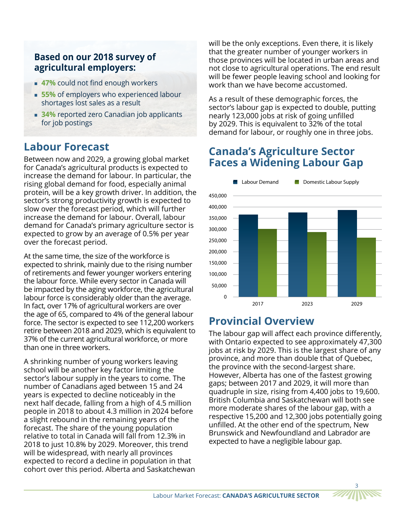#### **Based on our 2018 survey of agricultural employers:**

- **47%** could not find enough workers
- **55%** of employers who experienced labour shortages lost sales as a result
- **34%** reported zero Canadian job applicants for job postings

#### **Labour Forecast**

Between now and 2029, a growing global market for Canada's agricultural products is expected to increase the demand for labour. In particular, the rising global demand for food, especially animal protein, will be a key growth driver. In addition, the sector's strong productivity growth is expected to slow over the forecast period, which will further increase the demand for labour. Overall, labour demand for Canada's primary agriculture sector is expected to grow by an average of 0.5% per year over the forecast period.

At the same time, the size of the workforce is expected to shrink, mainly due to the rising number of retirements and fewer younger workers entering the labour force. While every sector in Canada will be impacted by the aging workforce, the agricultural labour force is considerably older than the average. In fact, over 17% of agricultural workers are over the age of 65, compared to 4% of the general labour force. The sector is expected to see 112,200 workers retire between 2018 and 2029, which is equivalent to 37% of the current agricultural workforce, or more than one in three workers.

A shrinking number of young workers leaving school will be another key factor limiting the sector's labour supply in the years to come. The number of Canadians aged between 15 and 24 years is expected to decline noticeably in the next half decade, falling from a high of 4.5 million people in 2018 to about 4.3 million in 2024 before a slight rebound in the remaining years of the forecast. The share of the young population relative to total in Canada will fall from 12.3% in 2018 to just 10.8% by 2029. Moreover, this trend will be widespread, with nearly all provinces expected to record a decline in population in that cohort over this period. Alberta and Saskatchewan will be the only exceptions. Even there, it is likely that the greater number of younger workers in those provinces will be located in urban areas and not close to agricultural operations. The end result will be fewer people leaving school and looking for work than we have become accustomed.

As a result of these demographic forces, the sector's labour gap is expected to double, putting nearly 123,000 jobs at risk of going unfilled by 2029. This is equivalent to 32% of the total demand for labour, or roughly one in three jobs.

#### **Canada's Agriculture Sector Faces a Widening Labour Gap**



## **Provincial Overview**

The labour gap will affect each province differently, with Ontario expected to see approximately 47,300 jobs at risk by 2029. This is the largest share of any province, and more than double that of Quebec, the province with the second-largest share. However, Alberta has one of the fastest growing gaps; between 2017 and 2029, it will more than quadruple in size, rising from 4,400 jobs to 19,600. British Columbia and Saskatchewan will both see more moderate shares of the labour gap, with a respective 15,200 and 12,300 jobs potentially going unfilled. At the other end of the spectrum, New Brunswick and Newfoundland and Labrador are expected to have a negligible labour gap.

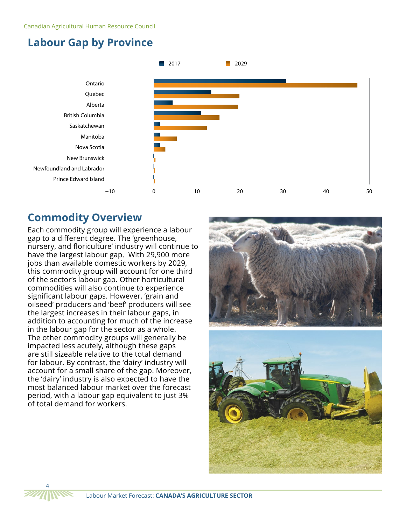



#### **Commodity Overview**

Each commodity group will experience a labour gap to a different degree. The 'greenhouse, nursery, and floriculture' industry will continue to have the largest labour gap. With 29,900 more jobs than available domestic workers by 2029, this commodity group will account for one third of the sector's labour gap. Other horticultural commodities will also continue to experience significant labour gaps. However, 'grain and oilseed' producers and 'beef' producers will see the largest increases in their labour gaps, in addition to accounting for much of the increase in the labour gap for the sector as a whole. The other commodity groups will generally be impacted less acutely, although these gaps are still sizeable relative to the total demand for labour. By contrast, the 'dairy' industry will account for a small share of the gap. Moreover, the 'dairy' industry is also expected to have the most balanced labour market over the forecast period, with a labour gap equivalent to just 3% of total demand for workers.



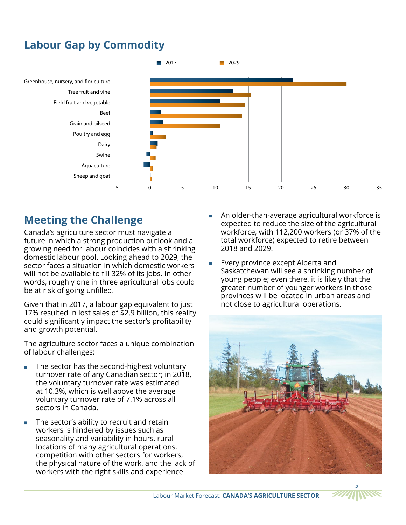## **Labour Gap by Commodity**



#### **Meeting the Challenge**

Canada's agriculture sector must navigate a future in which a strong production outlook and a growing need for labour coincides with a shrinking domestic labour pool. Looking ahead to 2029, the sector faces a situation in which domestic workers will not be available to fill 32% of its jobs. In other words, roughly one in three agricultural jobs could be at risk of going unfilled.

Given that in 2017, a labour gap equivalent to just 17% resulted in lost sales of \$2.9 billion, this reality could significantly impact the sector's profitability and growth potential.

The agriculture sector faces a unique combination of labour challenges:

- The sector has the second-highest voluntary turnover rate of any Canadian sector; in 2018, the voluntary turnover rate was estimated at 10.3%, which is well above the average voluntary turnover rate of 7.1% across all sectors in Canada.
- The sector's ability to recruit and retain workers is hindered by issues such as seasonality and variability in hours, rural locations of many agricultural operations, competition with other sectors for workers, the physical nature of the work, and the lack of workers with the right skills and experience.
- **An older-than-average agricultural workforce is** expected to reduce the size of the agricultural workforce, with 112,200 workers (or 37% of the total workforce) expected to retire between 2018 and 2029.
- Every province except Alberta and Saskatchewan will see a shrinking number of young people; even there, it is likely that the greater number of younger workers in those provinces will be located in urban areas and not close to agricultural operations.



5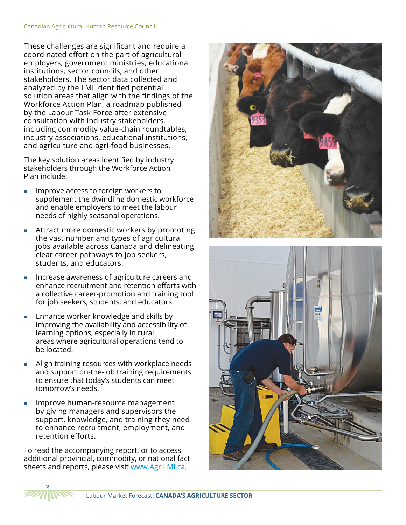#### Canadian Agricultural Human Resource Council

These challenges are significant and require a coordinated effort on the part of agricultural employers, government ministries, educational institutions, sector councils, and other stakeholders. The sector data collected and analyzed by the LMI identified potential solution areas that align with the findings of the Workforce Action Plan, a roadmap published by the Labour Task Force after extensive consultation with industry stakeholders, including commodity value-chain roundtables, industry associations, educational institutions, and agriculture and agri-food businesses.

The key solution areas identified by industry stakeholders through the Workforce Action Plan include:

- Improve access to foreign workers to supplement the dwindling domestic workforce and enable employers to meet the labour needs of highly seasonal operations.
- Attract more domestic workers by promoting the vast number and types of agricultural jobs available across Canada and delineating clear career pathways to job seekers, students, and educators.
- Increase awareness of agriculture careers and enhance recruitment and retention efforts with a collective career-promotion and training tool for job seekers, students, and educators.
- **Enhance worker knowledge and skills by** improving the availability and accessibility of learning options, especially in rural areas where agricultural operations tend to be located.
- **Align training resources with workplace needs** and support on-the-job training requirements to ensure that today's students can meet tomorrow's needs.
- Improve human-resource management by giving managers and supervisors the support, knowledge, and training they need to enhance recruitment, employment, and retention efforts.

To read the accompanying report, or to access additional provincial, commodity, or national fact sheets and reports, please visit www.AgriLMI.ca.